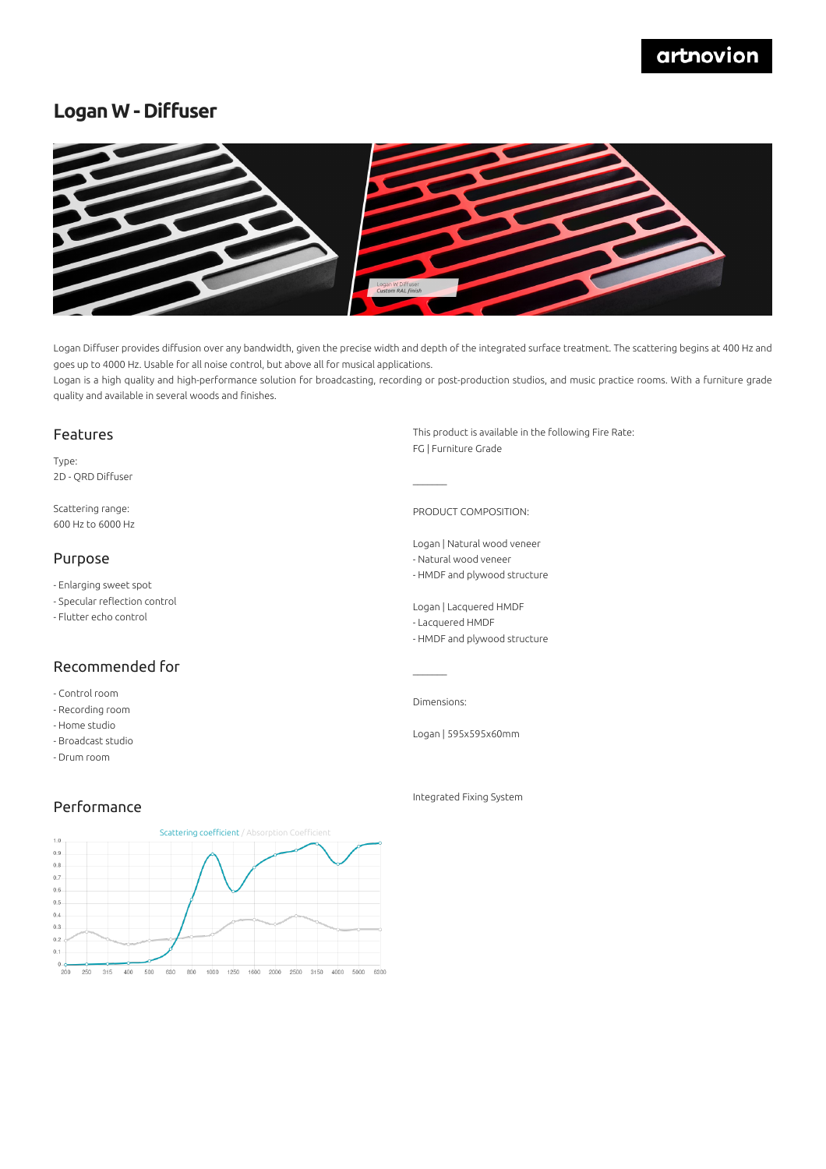## artnovion

## **Logan W - Diffuser**



Logan Diffuser provides diffusion over any bandwidth, given the precise width and depth of the integrated surface treatment. The scattering begins at 400 Hz and goes up to 4000 Hz. Usable for all noise control, but above all for musical applications.

Logan is a high quality and high-performance solution for broadcasting, recording or post-production studios, and music practice rooms. With a furniture grade quality and available in several woods and finishes.

 $\mathcal{L}=\mathcal{L}$ 

#### Features

Type: 2D - QRD Diffuser

Scattering range: 600 Hz to 6000 Hz

#### Purpose

- Enlarging sweet spot

- Specular reflection control
- Flutter echo control

### Recommended for

- Control room
- Recording room
- Home studio
- Broadcast studio
- Drum room

This product is available in the following Fire Rate: FG | Furniture Grade

PRODUCT COMPOSITION:

Logan | Natural wood veneer

- Natural wood veneer - HMDF and plywood structure
- 

Logan | Lacquered HMDF

- Lacquered HMDF
- HMDF and plywood structure

Dimensions:

 $\mathcal{L}=\mathcal{L}$ 

Logan | 595x595x60mm

### Performance



Integrated Fixing System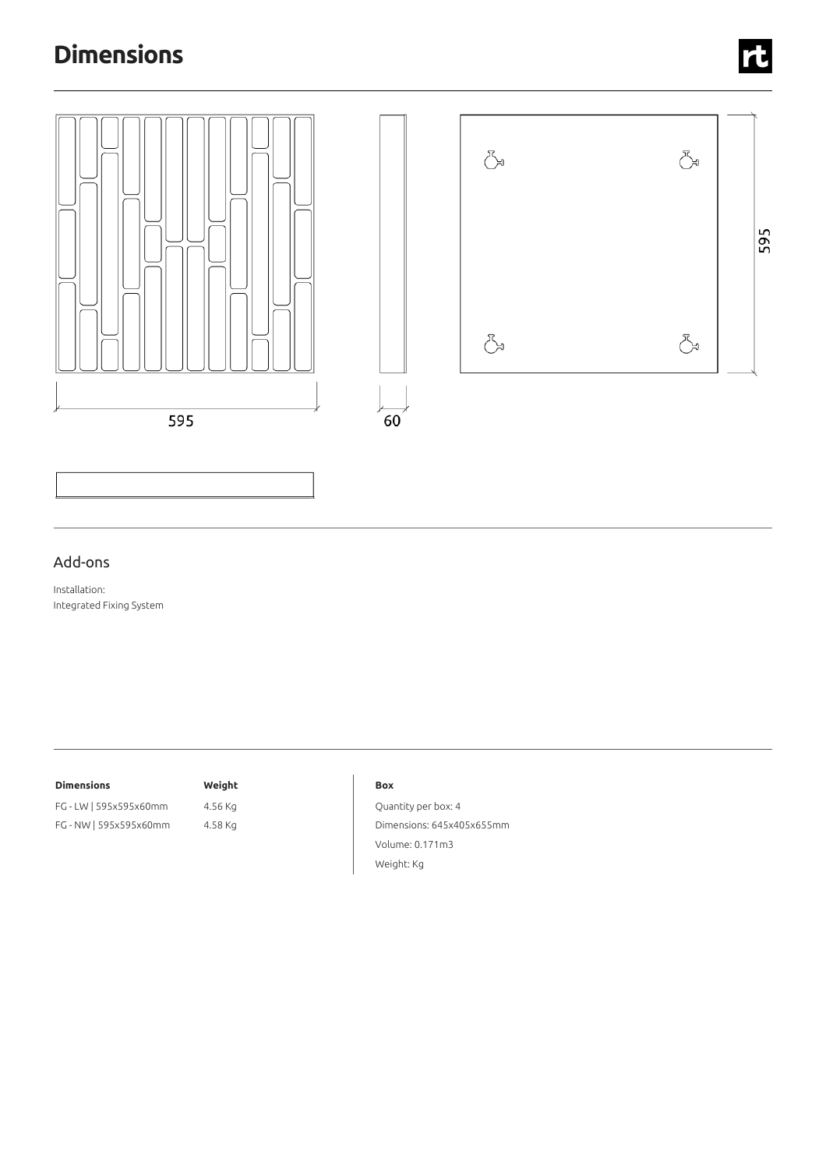# **Dimensions**



### Add-ons

Installation: Integrated Fixing System

#### **Dimensions Weight**

## FG - LW | 595x595x60mm 4.56 Kg FG - NW |595x595x60mm 4.58 Kg

#### **Box**

Quantity per box: 4 Dimensions: 645x405x655mm Volume: 0.171m3 Weight: Kg